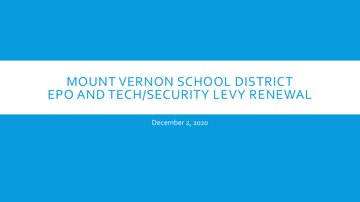### MOUNT VERNON SCHOOL DISTRICT EPO AND TECH/SECURITY LEVY RENEWAL

December 2, 2020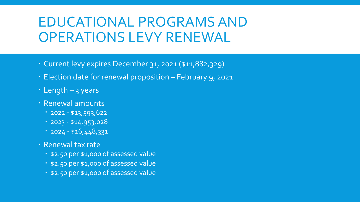# EDUCATIONAL PROGRAMS AND OPERATIONS LEVY RENEWAL

- Current levy expires December 31, 2021 (\$11,882,329)
- Election date for renewal proposition February 9, 2021
- Length 3 years
- Renewal amounts
	- $-2022 43,593,622$
	- $-2023 414,953,028$
	- $-2024 15,448,331$
- Renewal tax rate
	- \$2.50 per \$1,000 of assessed value
	- \$2.50 per \$1,000 of assessed value
	- \$2.50 per \$1,000 of assessed value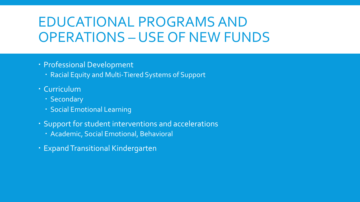# EDUCATIONAL PROGRAMS AND OPERATIONS – USE OF NEW FUNDS

#### Professional Development

- Racial Equity and Multi-Tiered Systems of Support
- Curriculum
	- · Secondary
	- Social Emotional Learning
- Support for student interventions and accelerations
	- Academic, Social Emotional, Behavioral
- Expand Transitional Kindergarten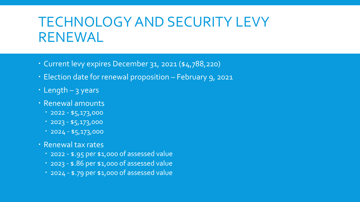# TECHNOLOGY AND SECURITY LEVY RENEWAL

- Current levy expires December 31, 2021 (\$4,788,220)
- Election date for renewal proposition February 9, 2021
- Length 3 years
- Renewal amounts
	- $-2022 $5,173,000$
	- $12023 $5,173,000$
	- $-2024 $5,173,000$
- Renewal tax rates
	- 2022 \$.95 per \$1,000 of assessed value
	- 2023 \$.86 per \$1,000 of assessed value
	- 2024 \$.79 per \$1,000 of assessed value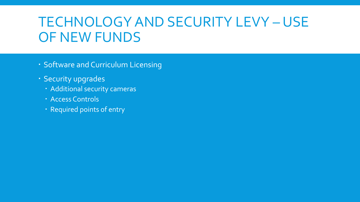# TECHNOLOGY AND SECURITY LEVY – USE OF NEW FUNDS

- Software and Curriculum Licensing
- **· Security upgrades** 
	- Additional security cameras
	- Access Controls
	- Required points of entry